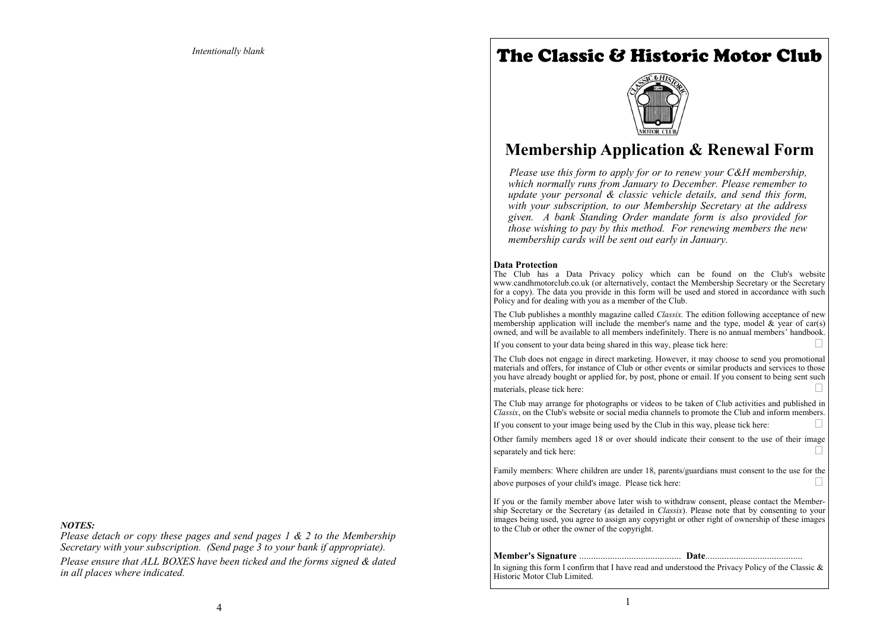# The Classic & Historic Motor Club



## **Membership Application & Renewal Form**

*Please use this form to apply for or to renew your C&H membership, which normally runs from January to December. Please remember to update your personal & classic vehicle details, and send this form, with your subscription, to our Membership Secretary at the address given. A bank Standing Order mandate form is also provided for those wishing to pay by this method. For renewing members the new membership cards will be sent out early in January.*

#### **Data Protection**

The Club has a Data Privacy policy which can be found on the Club's website www.candhmotorclub.co.uk (or alternatively, contact the Membership Secretary or the Secretary for a copy). The data you provide in this form will be used and stored in accordance with such Policy and for dealing with you as a member of the Club.

The Club publishes a monthly magazine called *Classix.* The edition following acceptance of new membership application will include the member's name and the type, model & year of car(s) owned, and will be available to all members indefinitely. There is no annual members' handbook.

If you consent to your data being shared in this way, please tick here:

The Club does not engage in direct marketing. However, it may choose to send you promotional materials and offers, for instance of Club or other events or similar products and services to those you have already bought or applied for, by post, phone or email. If you consent to being sent such materials, please tick here:

The Club may arrange for photographs or videos to be taken of Club activities and published in *Classix*, on the Club's website or social media channels to promote the Club and inform members.

If you consent to your image being used by the Club in this way, please tick here:

Other family members aged 18 or over should indicate their consent to the use of their image separately and tick here:

Family members: Where children are under 18, parents/guardians must consent to the use for the above purposes of your child's image. Please tick here:

If you or the family member above later wish to withdraw consent, please contact the Membership Secretary or the Secretary (as detailed in *Classix*). Please note that by consenting to your images being used, you agree to assign any copyright or other right of ownership of these images to the Club or other the owner of the copyright.

**Member's Signature** ........................................... **Date**.........................................

In signing this form I confirm that I have read and understood the Privacy Policy of the Classic & Historic Motor Club Limited.

#### *NOTES:*

*Please detach or copy these pages and send pages 1 & 2 to the Membership Secretary with your subscription. (Send page 3 to your bank if appropriate). Please ensure that ALL BOXES have been ticked and the forms signed & dated in all places where indicated.*